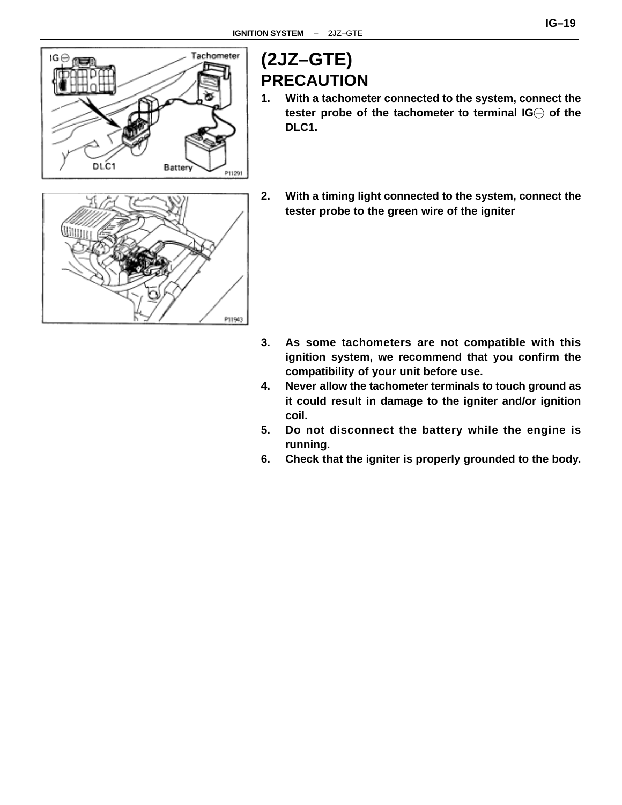<span id="page-0-0"></span>

# **(2JZ–GTE) PRECAUTION**

- **1. With a tachometer connected to the system, connect the tester probe of the tachometer to terminal IG of the DLC1.**
- P11943
- **2. With a timing light connected to the system, connect the tester probe to the green wire of the igniter**

- **3. As some tachometers are not compatible with this ignition system, we recommend that you confirm the compatibility of your unit before use.**
- **4. Never allow the tachometer terminals to touch ground as it could result in damage to the igniter and/or ignition coil.**
- **5. Do not disconnect the battery while the engine is running.**
- **6. Check that the igniter is properly grounded to the body.**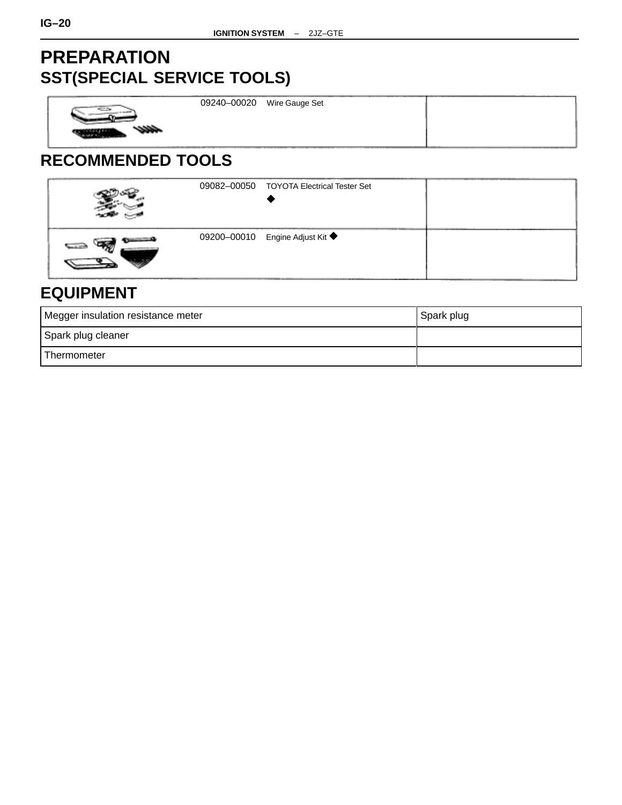# **PREPARATION SST(SPECIAL SERVICE TOOLS)**

| 09240-00020<br>Wire Gauge Set |
|-------------------------------|
|-------------------------------|

### **RECOMMENDED TOOLS**

| 09082-00050 | <b>TOYOTA Electrical Tester Set</b> |  |
|-------------|-------------------------------------|--|
|             | 09200-00010 Engine Adjust Kit ◆     |  |

#### **EQUIPMENT**

| Megger insulation resistance meter | Spark plug |
|------------------------------------|------------|
| Spark plug cleaner                 |            |
| Thermometer                        |            |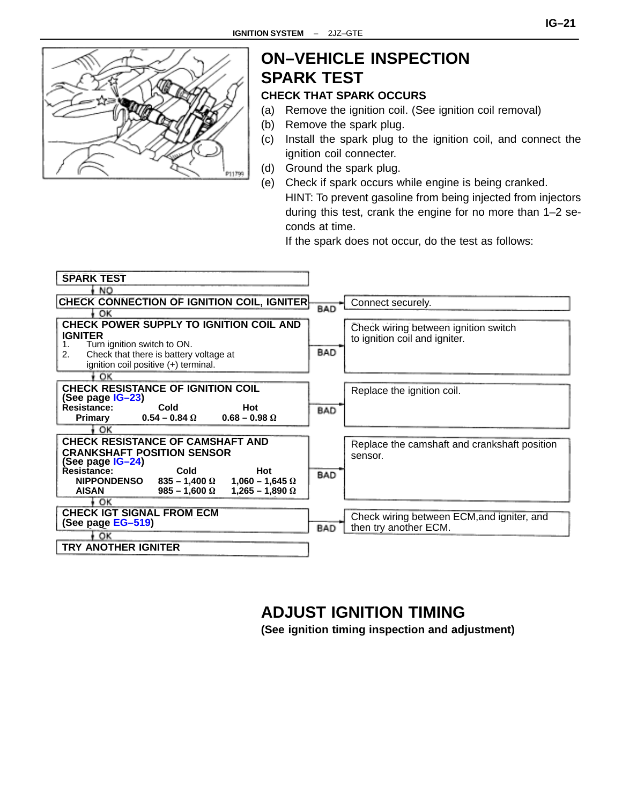

# **ON–VEHICLE INSPECTION SPARK TEST**

#### **CHECK THAT SPARK OCCURS**

- (a) Remove the ignition coil. (See ignition coil removal)
- (b) Remove the spark plug.
- (c) Install the spark plug to the ignition coil, and connect the ignition coil connecter.
- (d) Ground the spark plug.
- (e) Check if spark occurs while engine is being cranked. HINT: To prevent gasoline from being injected from injectors during this test, crank the engine for no more than 1–2 seconds at time.

If the spark does not occur, do the test as follows:



### **ADJUST IGNITION TIMING**

**(See ignition timing inspection and adjustment)**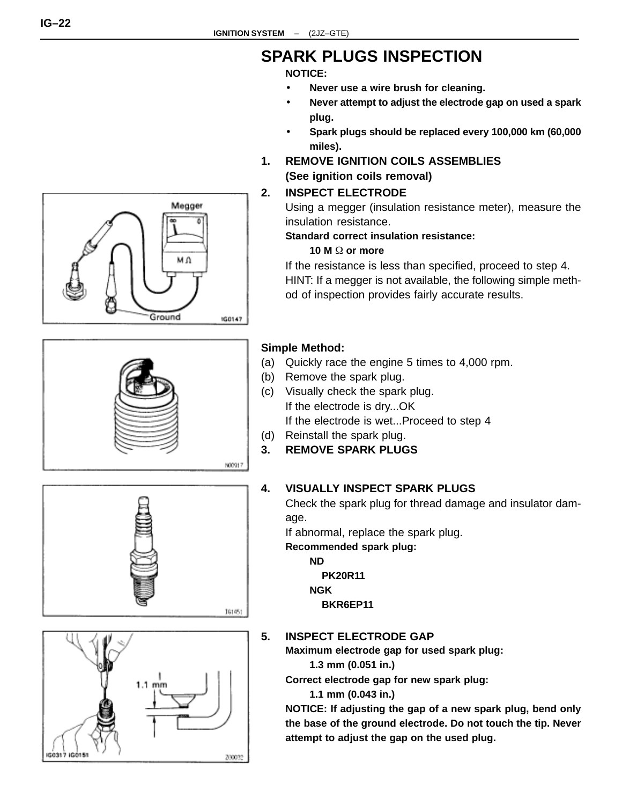## **SPARK PLUGS INSPECTION**

**NOTICE:**

- **Never use a wire brush for cleaning.**
- **Never attempt to adjust the electrode gap on used a spark plug.**
- **Spark plugs should be replaced every 100,000 km (60,000 miles).**
- **1. REMOVE IGNITION COILS ASSEMBLIES (See ignition coils removal)**

#### **2. INSPECT ELECTRODE**

Using a megger (insulation resistance meter), measure the insulation resistance.

**Standard correct insulation resistance:**

#### **10 M or more**

If the resistance is less than specified, proceed to step 4. HINT: If a megger is not available, the following simple method of inspection provides fairly accurate results.

#### **Simple Method:**

100917

- (a) Quickly race the engine 5 times to 4,000 rpm.
- (b) Remove the spark plug.
- (c) Visually check the spark plug. If the electrode is dry...OK If the electrode is wet...Proceed to step 4
- (d) Reinstall the spark plug.
- **3. REMOVE SPARK PLUGS**

#### **4. VISUALLY INSPECT SPARK PLUGS**

Check the spark plug for thread damage and insulator damage.

If abnormal, replace the spark plug.

**Recommended spark plug:**

**ND PK20R11 NGK BKR6EP11**

#### **5. INSPECT ELECTRODE GAP**

**Maximum electrode gap for used spark plug: 1.3 mm (0.051 in.)**

**Correct electrode gap for new spark plug:**

**1.1 mm (0.043 in.)**

**NOTICE: If adjusting the gap of a new spark plug, bend only the base of the ground electrode. Do not touch the tip. Never attempt to adjust the gap on the used plug.**





<span id="page-3-0"></span>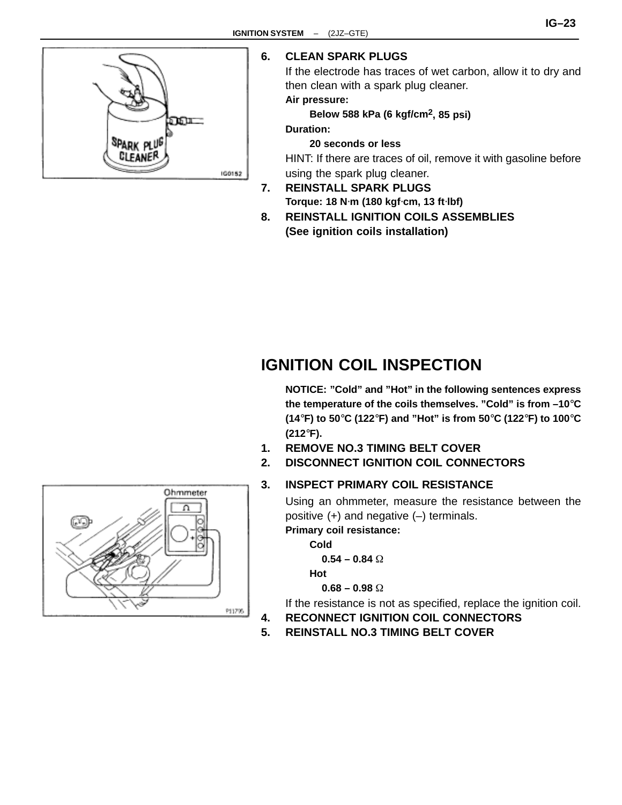<span id="page-4-0"></span>

#### **6. CLEAN SPARK PLUGS**

If the electrode has traces of wet carbon, allow it to dry and then clean with a spark plug cleaner.

#### **Air pressure:**

**Below 588 kPa (6 kgf/cm2, 85 psi)**

**Duration:**

#### **20 seconds or less**

HINT: If there are traces of oil, remove it with gasoline before using the spark plug cleaner.

- **7. REINSTALL SPARK PLUGS Torque: 18 N**⋅**m (180 kgf**⋅**cm, 13 ft**⋅**lbf)**
- **8. REINSTALL IGNITION COILS ASSEMBLIES (See ignition coils installation)**

### **IGNITION COIL INSPECTION**

**NOTICE: "Cold" and "Hot" in the following sentences express the temperature of the coils themselves. "Cold" is from –10**°**C (14**°**F) to 50**°**C (122**°**F) and "Hot" is from 50**°**C (122**°**F) to 100**°**C (212**°**F).**

- **1. REMOVE NO.3 TIMING BELT COVER**
- **2. DISCONNECT IGNITION COIL CONNECTORS**

#### **3. INSPECT PRIMARY COIL RESISTANCE**

Using an ohmmeter, measure the resistance between the positive (+) and negative (–) terminals. **Primary coil resistance:**

**Cold**

 $0.54 - 0.84$   $\Omega$ 

**Hot**

```
0.68 - 0.98 \Omega
```
If the resistance is not as specified, replace the ignition coil.

**4. RECONNECT IGNITION COIL CONNECTORS**

**5. REINSTALL NO.3 TIMING BELT COVER**

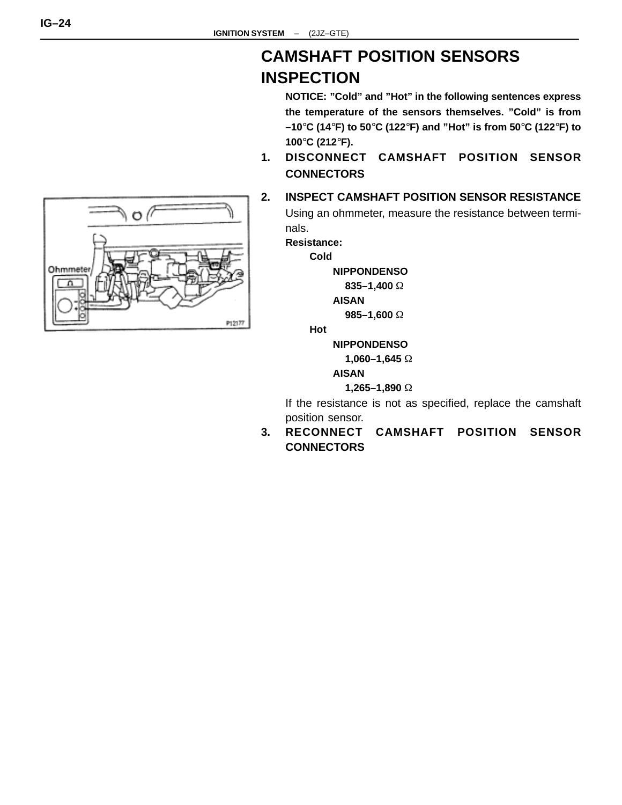# **CAMSHAFT POSITION SENSORS INSPECTION**

**NOTICE: "Cold" and "Hot" in the following sentences express the temperature of the sensors themselves. "Cold" is from –10**°**C (14**°**F) to 50**°**C (122**°**F) and "Hot" is from 50**°**C (122**°**F) to 100**°**C (212**°**F).**

- **1. DISCONNECT CAMSHAFT POSITION SENSOR CONNECTORS**
- **2. INSPECT CAMSHAFT POSITION SENSOR RESISTANCE** Using an ohmmeter, measure the resistance between terminals.

**Resistance:**

**Cold**

**NIPPONDENSO 835–1,400 AISAN 985–1,600** 

**Hot**

**NIPPONDENSO**

**1,060–1,645** 

#### **AISAN**

```
1,265–1,890
```
If the resistance is not as specified, replace the camshaft position sensor.

**3. RECONNECT CAMSHAFT POSITION SENSOR CONNECTORS**

<span id="page-5-0"></span>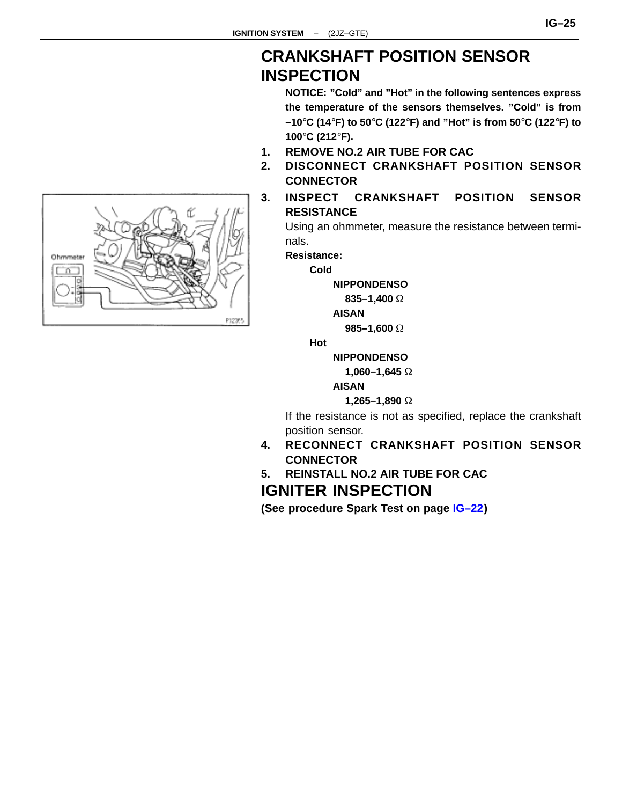# **CRANKSHAFT POSITION SENSOR INSPECTION**

**NOTICE: "Cold" and "Hot" in the following sentences express the temperature of the sensors themselves. "Cold" is from –10**°**C (14**°**F) to 50**°**C (122**°**F) and "Hot" is from 50**°**C (122**°**F) to 100**°**C (212**°**F).**

- **1. REMOVE NO.2 AIR TUBE FOR CAC**
- **2. DISCONNECT CRANKSHAFT POSITION SENSOR CONNECTOR**
- **3. INSPECT CRANKSHAFT POSITION SENSOR RESISTANCE**

Using an ohmmeter, measure the resistance between terminals.

**Resistance:**

**Cold**

**NIPPONDENSO 835–1,400 AISAN**

**985–1,600** 

**Hot**

**NIPPONDENSO**

**1,060–1,645** 

#### **AISAN**

**1,265–1,890** 

If the resistance is not as specified, replace the crankshaft position sensor.

- **4. RECONNECT CRANKSHAFT POSITION SENSOR CONNECTOR**
- **5. REINSTALL NO.2 AIR TUBE FOR CAC IGNITER INSPECTION**

**(See procedure Spark Test on page [IG–22](#page-3-0))**

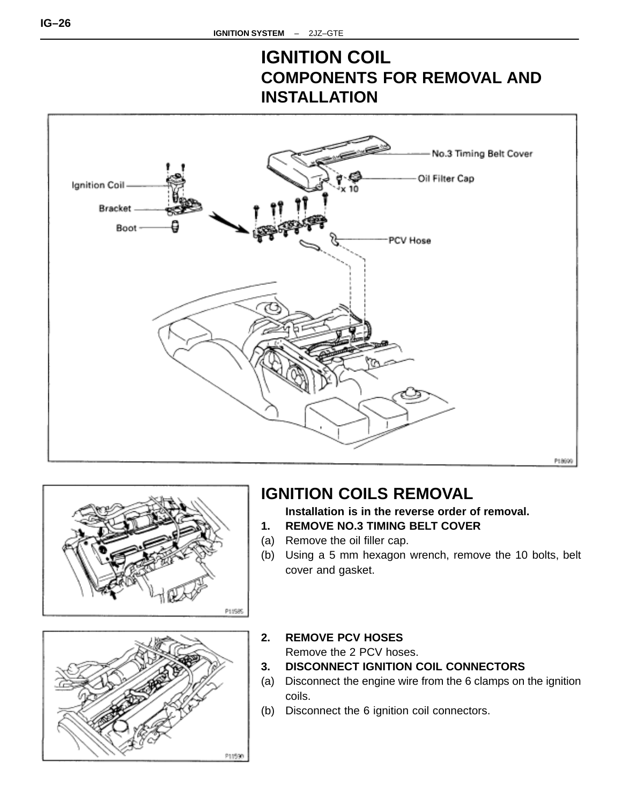# **IGNITION COIL COMPONENTS FOR REMOVAL AND INSTALLATION**





### **IGNITION COILS REMOVAL**

**Installation is in the reverse order of removal.**

- **1. REMOVE NO.3 TIMING BELT COVER**
- (a) Remove the oil filler cap.
- (b) Using a 5 mm hexagon wrench, remove the 10 bolts, belt cover and gasket.



**2. REMOVE PCV HOSES**

Remove the 2 PCV hoses.

- **3. DISCONNECT IGNITION COIL CONNECTORS**
- (a) Disconnect the engine wire from the 6 clamps on the ignition coils.
- (b) Disconnect the 6 ignition coil connectors.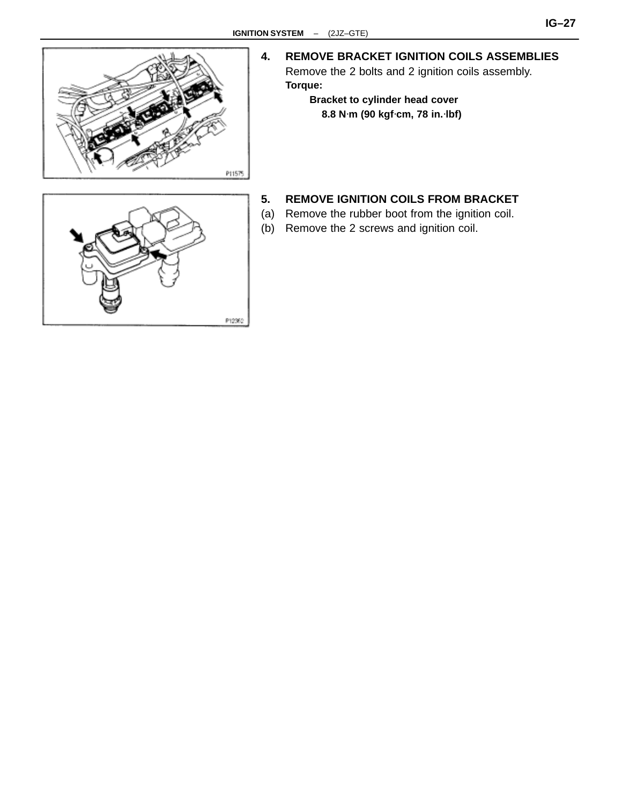

**4. REMOVE BRACKET IGNITION COILS ASSEMBLIES** Remove the 2 bolts and 2 ignition coils assembly. **Torque:**

> **Bracket to cylinder head cover 8.8 N**⋅**m (90 kgf**⋅**cm, 78 in.**⋅**lbf)**



- **5. REMOVE IGNITION COILS FROM BRACKET**
- (a) Remove the rubber boot from the ignition coil.
- (b) Remove the 2 screws and ignition coil.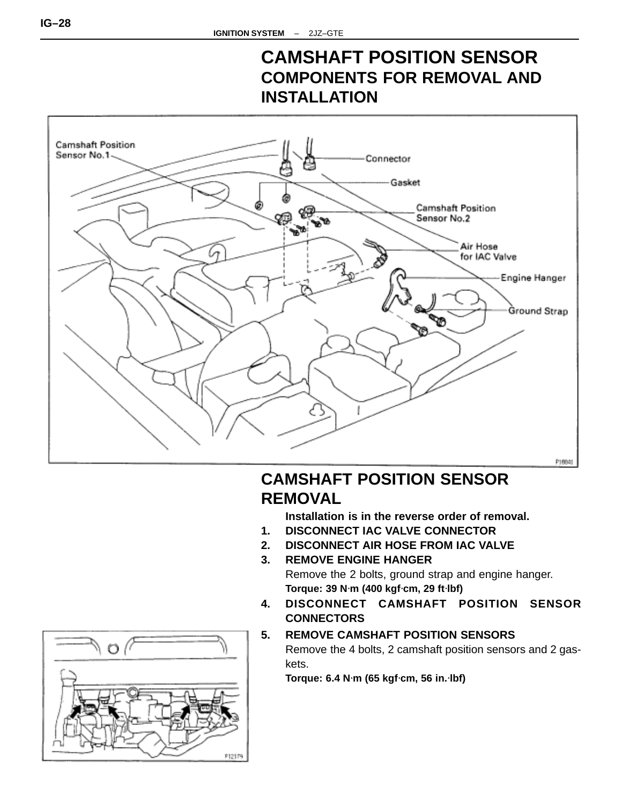## **CAMSHAFT POSITION SENSOR COMPONENTS FOR REMOVAL AND INSTALLATION**



### **CAMSHAFT POSITION SENSOR REMOVAL**

**Installation is in the reverse order of removal.**

- **1. DISCONNECT IAC VALVE CONNECTOR**
- **2. DISCONNECT AIR HOSE FROM IAC VALVE**
- **3. REMOVE ENGINE HANGER** Remove the 2 bolts, ground strap and engine hanger. **Torque: 39 N**⋅**m (400 kgf**⋅**cm, 29 ft**⋅**lbf)**
- **4. DISCONNECT CAMSHAFT POSITION SENSOR CONNECTORS**

#### **5. REMOVE CAMSHAFT POSITION SENSORS** Remove the 4 bolts, 2 camshaft position sensors and 2 gaskets.

**Torque: 6.4 N**⋅**m (65 kgf**⋅**cm, 56 in.**⋅**lbf)**

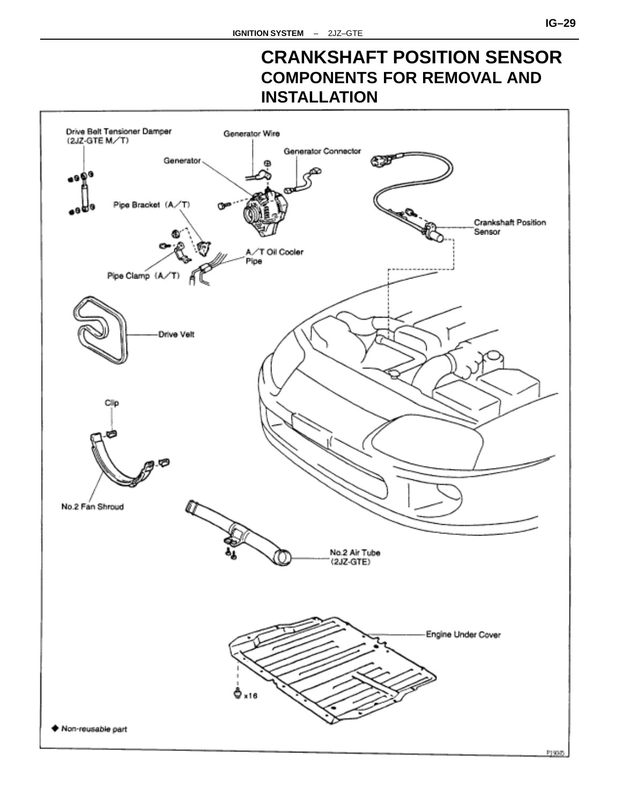### **CRANKSHAFT POSITION SENSOR COMPONENTS FOR REMOVAL AND INSTALLATION**

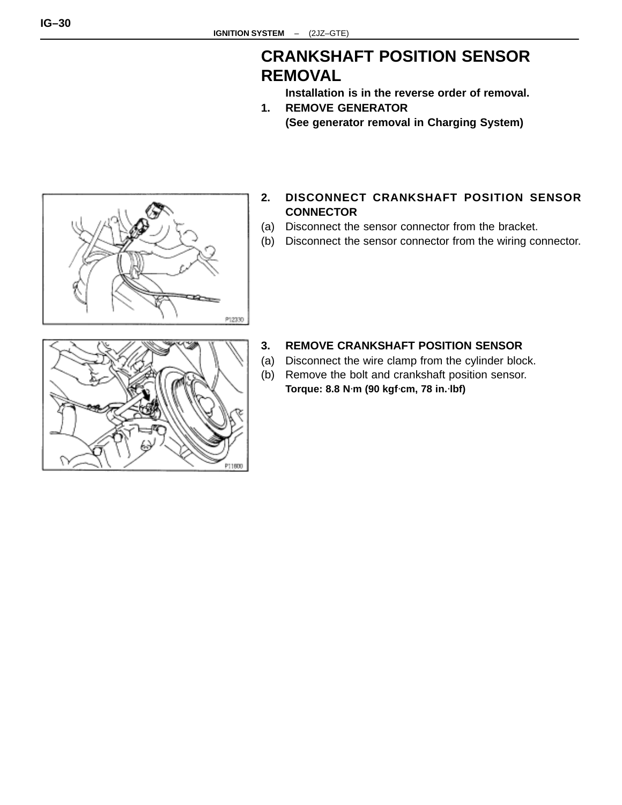### **CRANKSHAFT POSITION SENSOR REMOVAL**

**Installation is in the reverse order of removal.**

- **1. REMOVE GENERATOR (See generator removal in Charging System)**
- **2. DISCONNECT CRANKSHAFT POSITION SENSOR CONNECTOR**
- (a) Disconnect the sensor connector from the bracket.
- (b) Disconnect the sensor connector from the wiring connector.





- **3. REMOVE CRANKSHAFT POSITION SENSOR**
- (a) Disconnect the wire clamp from the cylinder block.
- (b) Remove the bolt and crankshaft position sensor. **Torque: 8.8 N**⋅**m (90 kgf**⋅**cm, 78 in.**⋅**lbf)**